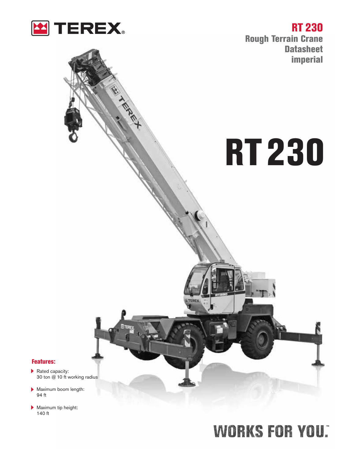

A SEREY

**RT 230 Rough Terrain Crane Datasheet imperial**

# **RT230**

**Features:**

- Rated capacity: 30 ton @ 10 ft working radius
- Maximum boom length: 94 ft
- Maximum tip height: 140 ft

## **WORKS FOR YOU.**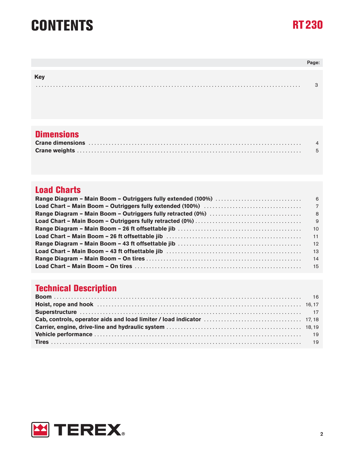### **CONTENTS RT230**



|            | Page: |
|------------|-------|
|            |       |
| <b>Key</b> |       |
|            |       |

### **Dimensions**

| Crane dimensions in the contract of the contract of the dimensional contract of the contract of the contract of the contract of the contract of the contract of the contract of the contract of the contract of the contract o |  |
|--------------------------------------------------------------------------------------------------------------------------------------------------------------------------------------------------------------------------------|--|
|                                                                                                                                                                                                                                |  |

### **Load Charts**

### **Technical Description**

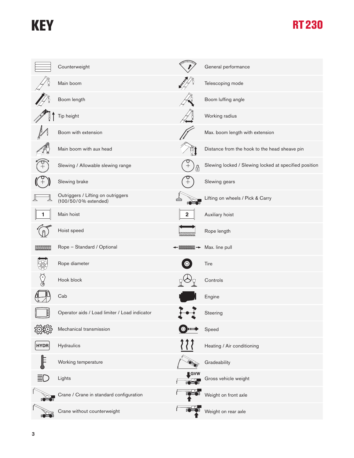### **KEY RT230**

|               | Counterweight                                              |                    | General performance                                   |
|---------------|------------------------------------------------------------|--------------------|-------------------------------------------------------|
|               | Main boom                                                  | <b>MISS</b>        | Telescoping mode                                      |
|               | Boom length                                                |                    | Boom luffing angle                                    |
|               | Tip height                                                 |                    | Working radius                                        |
|               | Boom with extension                                        |                    | Max. boom length with extension                       |
|               | Main boom with aux head                                    |                    | Distance from the hook to the head sheave pin         |
|               | Slewing / Allowable slewing range                          | A                  | Slewing locked / Slewing locked at specified position |
|               | Slewing brake                                              |                    | Slewing gears                                         |
|               | Outriggers / Lifting on outriggers<br>(100/50/0% extended) |                    | Lifting on wheels / Pick & Carry                      |
|               | Main hoist                                                 |                    | Auxiliary hoist                                       |
|               | Hoist speed                                                |                    | Rope length                                           |
|               | Rope - Standard / Optional                                 |                    | Max. line pull                                        |
|               | Rope diameter                                              |                    | Tire                                                  |
|               | Hook block                                                 |                    | Controls                                              |
|               | Cab                                                        |                    | Engine                                                |
| $\frac{1}{2}$ | Operator aids / Load limiter / Load indicator              |                    | Steering                                              |
|               | Mechanical transmission                                    | $\bullet$<br>шщ    | Speed                                                 |
| <b>HYDR</b>   | Hydraulics                                                 |                    | Heating / Air conditioning                            |
|               | Working temperature                                        |                    | Gradeability                                          |
|               | Lights                                                     | $\blacksquare$ GVW | Gross vehicle weight                                  |
|               | Crane / Crane in standard configuration                    |                    | Weight on front axle                                  |
|               | Crane without counterweight                                |                    | Weight on rear axle                                   |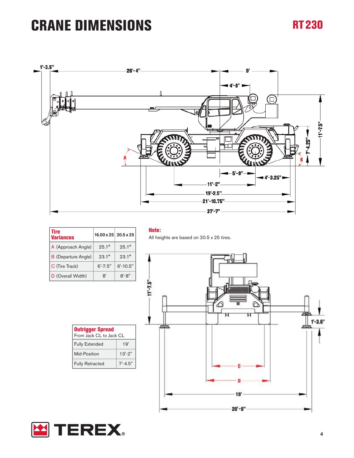### **CRANE DIMENSIONS RT230**



| <b>Tire</b><br>Variances   | $16.00 \times 25$ 20.5 x 25 |                |
|----------------------------|-----------------------------|----------------|
| A (Approach Angle)         | $25.1^{\circ}$              | $25.1^{\circ}$ |
| <b>B</b> (Departure Angle) | $93.1^{\circ}$              | $23.1^{\circ}$ |
| C (Tire Track)             | $6' - 7.5''$                | $6' - 10.5"$   |
| D (Overall Width)          | R'                          | $8' - 8''$     |

**Note:** 

All heights are based on 20.5 x 25 tires.





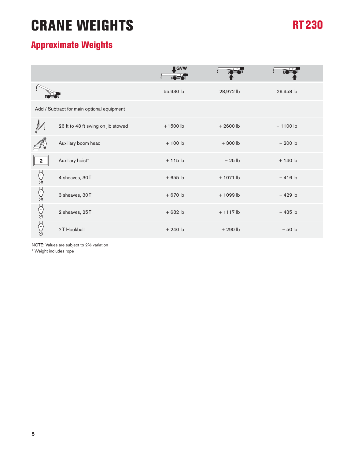### **CRANE WEIGHTS**

### **RT230**

### **Approximate Weights**

|                  |                                            | <b>IGVW</b> |             |            |
|------------------|--------------------------------------------|-------------|-------------|------------|
|                  |                                            | 55,930 lb   | 28,972 lb   | 26,958 lb  |
|                  | Add / Subtract for main optional equipment |             |             |            |
|                  | 26 ft to 43 ft swing on jib stowed         | $+1500$ lb  | $+2600$ lb  | $-1100$ lb |
|                  | Auxiliary boom head                        | $+100$ lb   | $+300$ lb   | $-200$ lb  |
| $\mathbf{2}$     | Auxiliary hoist*                           | $+115$ lb   | $-25$ lb    | $+140$ lb  |
| $(\degree)$<br>ැ | 4 sheaves, 30T                             | $+655$ lb   | $+1071$ lb  | $-416$ lb  |
| ℰ<br>∛           | 3 sheaves, 30T                             | $+670$ lb   | $+1099$ lb  | $-429$ lb  |
| ℰ<br>ැ           | 2 sheaves, 25T                             | $+682$ lb   | $+ 1117$ lb | $-435$ lb  |
|                  | 7T Hookball                                | $+240$ lb   | $+290$ lb   | $-50$ lb   |

NOTE: Values are subject to 2% variation

\* Weight includes rope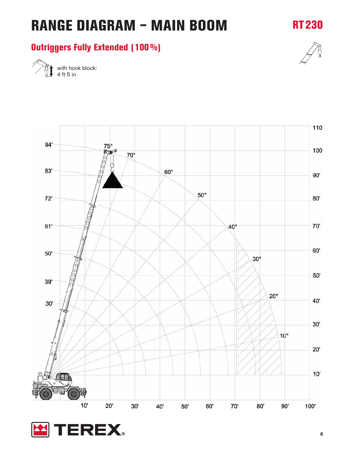

### **Outriggers Fully Extended (100%)**



**RT230**

with hook block: 4 ft 5 in

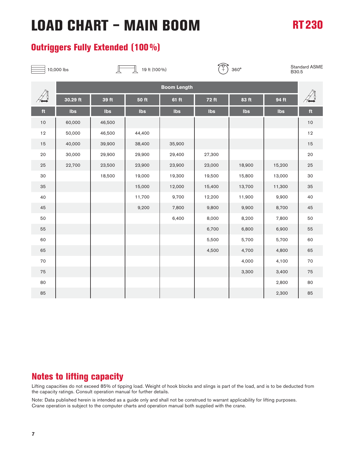#### **Outriggers Fully Extended (100%)**



 $\begin{bmatrix} 10,000 \text{ lbs} \\ 19 \text{ ft} \text{ (100\%) \end{bmatrix}$  19 ft (100%)  $\begin{pmatrix} 0 \\ 1 \end{pmatrix}$  360° Standard ASME

B30.5

|    | <b>Boom Length</b> |        |        |        |              |        |        |      |
|----|--------------------|--------|--------|--------|--------------|--------|--------|------|
|    | 30.29 ft           | 39 ft  | 50 ft  | 61 ft  | <b>72 ft</b> | 83 ft  | 94 ft  |      |
| ft | Ibs                | Ibs    | Ibs    | Ibs    | Ibs          | Ibs    | Ibs    | ft   |
| 10 | 60,000             | 46,500 |        |        |              |        |        | $10$ |
| 12 | 50,000             | 46,500 | 44,400 |        |              |        |        | 12   |
| 15 | 40,000             | 39,900 | 38,400 | 35,900 |              |        |        | 15   |
| 20 | 30,000             | 29,900 | 29,900 | 29,400 | 27,300       |        |        | 20   |
| 25 | 22,700             | 23,500 | 23,900 | 23,900 | 23,000       | 18,900 | 15,200 | 25   |
| 30 |                    | 18,500 | 19,000 | 19,300 | 19,500       | 15,800 | 13,000 | 30   |
| 35 |                    |        | 15,000 | 12,000 | 15,400       | 13,700 | 11,300 | 35   |
| 40 |                    |        | 11,700 | 9,700  | 12,200       | 11,900 | 9,900  | 40   |
| 45 |                    |        | 9,200  | 7,800  | 9,800        | 9,900  | 8,700  | 45   |
| 50 |                    |        |        | 6,400  | 8,000        | 8,200  | 7,800  | 50   |
| 55 |                    |        |        |        | 6,700        | 6,800  | 6,900  | 55   |
| 60 |                    |        |        |        | 5,500        | 5,700  | 5,700  | 60   |
| 65 |                    |        |        |        | 4,500        | 4,700  | 4,800  | 65   |
| 70 |                    |        |        |        |              | 4,000  | 4,100  | 70   |
| 75 |                    |        |        |        |              | 3,300  | 3,400  | 75   |
| 80 |                    |        |        |        |              |        | 2,800  | 80   |
| 85 |                    |        |        |        |              |        | 2,300  | 85   |

### **Notes to lifting capacity**

Lifting capacities do not exceed 85% of tipping load. Weight of hook blocks and slings is part of the load, and is to be deducted from the capacity ratings. Consult operation manual for further details.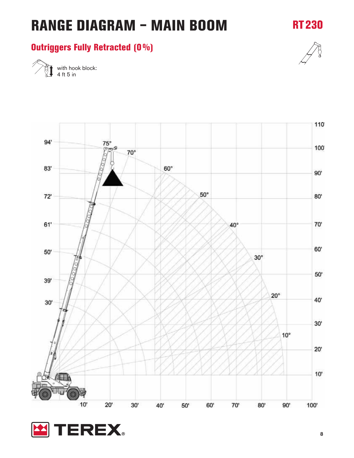### **RANGE DIAGRAM – MAIN BOOM**

### **Outriggers Fully Retracted (0%)**



**RT230**

with hook block: 4 ft 5 in

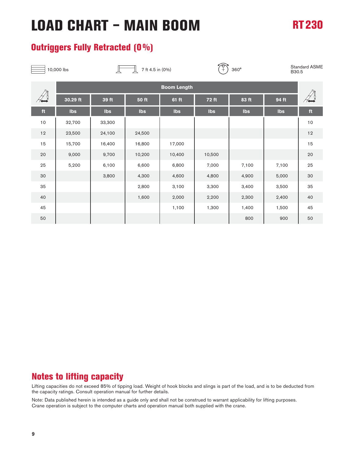#### **Outriggers Fully Retracted (0%)**

|    | 10,000 lbs         |        | 7 ft 4.5 in (0%) |        | $\widehat{C}^{\ast}$ | 360°  | B30.5 | <b>Standard ASME</b> |
|----|--------------------|--------|------------------|--------|----------------------|-------|-------|----------------------|
|    | <b>Boom Length</b> |        |                  |        |                      |       |       |                      |
|    | 30.29 ft           | 39 ft  | <b>50 ft</b>     | 61 ft  | 72 ft                | 83 ft | 94 ft |                      |
| ft | Ibs                | Ibs    | Ibs              | Ibs    | Ibs                  | Ibs   | Ibs   | $\mathbf{ft}$        |
| 10 | 32,700             | 33,300 |                  |        |                      |       |       | 10                   |
| 12 | 23,500             | 24,100 | 24,500           |        |                      |       |       | 12                   |
| 15 | 15,700             | 16,400 | 16,800           | 17,000 |                      |       |       | 15                   |
| 20 | 9,000              | 9,700  | 10,200           | 10,400 | 10,500               |       |       | 20                   |
| 25 | 5,200              | 6,100  | 6,600            | 6,800  | 7,000                | 7,100 | 7,100 | 25                   |
| 30 |                    | 3,800  | 4,300            | 4,600  | 4,800                | 4,900 | 5,000 | 30                   |
| 35 |                    |        | 2,800            | 3,100  | 3,300                | 3,400 | 3,500 | 35                   |
| 40 |                    |        | 1,600            | 2,000  | 2,200                | 2,300 | 2,400 | 40                   |
| 45 |                    |        |                  | 1,100  | 1,300                | 1,400 | 1,500 | 45                   |
| 50 |                    |        |                  |        |                      | 800   | 900   | 50                   |

#### **Notes to lifting capacity**

Lifting capacities do not exceed 85% of tipping load. Weight of hook blocks and slings is part of the load, and is to be deducted from the capacity ratings. Consult operation manual for further details.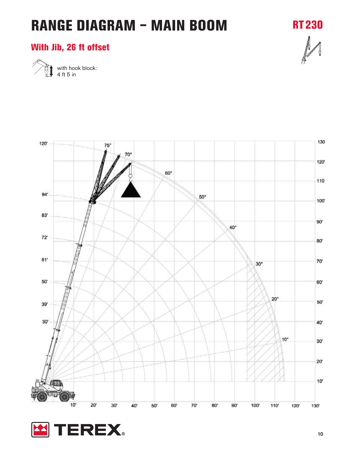### **RANGE DIAGRAM – MAIN BOOM**

**RT230**

### **With Jib, 26 ft offset**



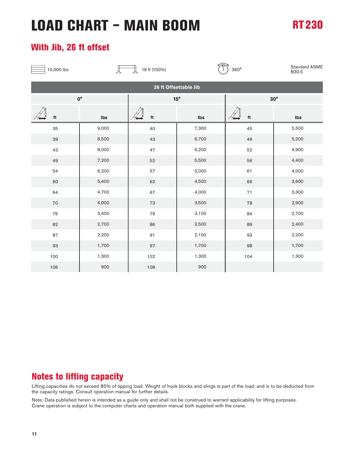#### **With Jib, 26 ft offset**

| 10,000 lbs              |                       | $\frac{1}{\sqrt{2}}$<br>19 ft (100%) |              | 360°                    | Standard ASME<br>B30.5 |  |  |  |
|-------------------------|-----------------------|--------------------------------------|--------------|-------------------------|------------------------|--|--|--|
|                         | 26 ft Offsettable Jib |                                      |              |                         |                        |  |  |  |
|                         | $0^{\circ}$           |                                      | $15^{\circ}$ | $30^\circ$              |                        |  |  |  |
| $\operatorname{\sf ft}$ | Ibs                   | $\operatorname{\mathsf{ft}}$         | Ibs          | $\operatorname{\sf ft}$ | Ibs                    |  |  |  |
| 35                      | 9,000                 | 40                                   | 7,300        | 45                      | 5,500                  |  |  |  |
| 39                      | 8,500                 | 43                                   | 6,700        | 49                      | 5,200                  |  |  |  |
| 43                      | 8,000                 | 47                                   | 6,200        | 52                      | 4,900                  |  |  |  |
| 49                      | 7,200                 | 52                                   | 5,500        | 56                      | 4,400                  |  |  |  |
| 54                      | 6,200                 | 57                                   | 5,000        | 61                      | 4,000                  |  |  |  |
| 60                      | 5,400                 | 62                                   | 4,500        | 66                      | 3,600                  |  |  |  |
| 64                      | 4,700                 | 67                                   | 4,000        | $71\,$                  | 3,300                  |  |  |  |
| $70\,$                  | 4,000                 | 73                                   | 3,500        | 78                      | 2,900                  |  |  |  |
| 76                      | 3,400                 | 79                                   | 3,100        | 84                      | 2,700                  |  |  |  |
| 82                      | 2,700                 | 86                                   | 2,500        | 89                      | 2,400                  |  |  |  |
| 87                      | 2,200                 | $91\,$                               | 2,100        | 93                      | 2,200                  |  |  |  |
| 93                      | 1,700                 | 97                                   | 1,700        | 98                      | 1,700                  |  |  |  |
| 100                     | 1,300                 | 102                                  | 1,300        | 104                     | 1,300                  |  |  |  |
| 106                     | 900                   | 108                                  | 900          |                         |                        |  |  |  |

#### **Notes to lifting capacity**

Lifting capacities do not exceed 85% of tipping load. Weight of hook blocks and slings is part of the load, and is to be deducted from the capacity ratings. Consult operation manual for further details.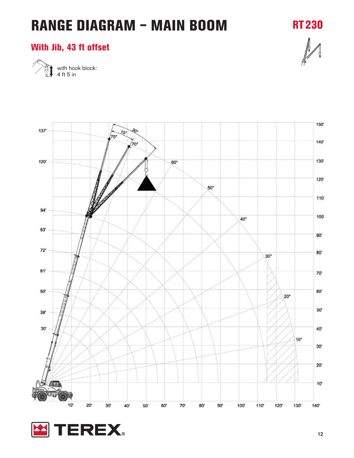### **RANGE DIAGRAM – MAIN BOOM**

**RT230**

#### **With Jib, 43 ft offset**



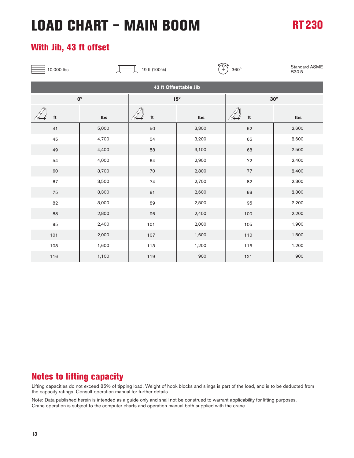#### **With Jib, 43 ft offset**

| 10,000 lbs |                       | 19 ft (100%)            | $^\sigma_+$  | 360°        | Standard ASME<br>B30.5 |  |  |  |  |
|------------|-----------------------|-------------------------|--------------|-------------|------------------------|--|--|--|--|
|            | 43 ft Offsettable Jib |                         |              |             |                        |  |  |  |  |
|            | $0^{\circ}$           |                         | $15^{\circ}$ | $30^\circ$  |                        |  |  |  |  |
| ft         | Ibs                   | $\operatorname{\sf ft}$ | Ibs          | $^{\rm ft}$ | Ibs                    |  |  |  |  |
| 41         | 5,000                 | 50                      | 3,300        | 62          | 2,600                  |  |  |  |  |
| 45         | 4,700                 | 54                      | 3,200        | 65          | 2,600                  |  |  |  |  |
| 49         | 4,400                 | 58                      | 3,100        | 68          | 2,500                  |  |  |  |  |
| 54         | 4,000                 | 64                      | 2,900        | 72          | 2,400                  |  |  |  |  |
| 60         | 3,700                 | 70                      | 2,800        | 77          | 2,400                  |  |  |  |  |
| 67         | 3,500                 | 74                      | 2,700        | 82          | 2,300                  |  |  |  |  |
| 75         | 3,300                 | 81                      | 2,600        | 88          | 2,300                  |  |  |  |  |
| 82         | 3,000                 | 89                      | 2,500        | 95          | 2,200                  |  |  |  |  |
| 88         | 2,800                 | 96                      | 2,400        | 100         | 2,200                  |  |  |  |  |
| 95         | 2,400                 | 101                     | 2,000        | 105         | 1,900                  |  |  |  |  |
| 101        | 2,000                 | 107                     | 1,600        | 110         | 1,500                  |  |  |  |  |
| 108        | 1,600                 | 113                     | 1,200        | 115         | 1,200                  |  |  |  |  |
| 116        | 1,100                 | 119                     | 900          | 121         | 900                    |  |  |  |  |

#### **Notes to lifting capacity**

Lifting capacities do not exceed 85% of tipping load. Weight of hook blocks and slings is part of the load, and is to be deducted from the capacity ratings. Consult operation manual for further details.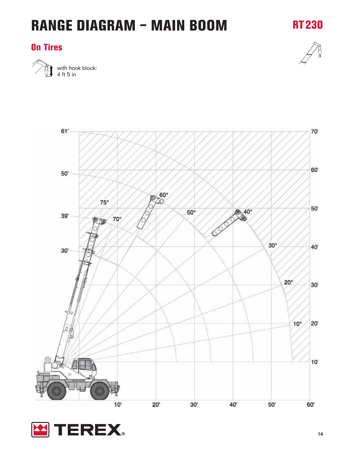### **RANGE DIAGRAM – MAIN BOOM**

#### **On Tires**





**RT230**

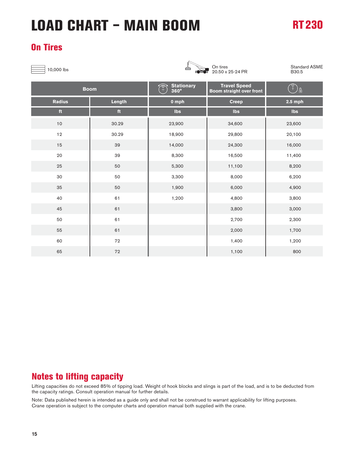### **On Tires**

 $\frac{\lambda}{\sqrt{2}}$  10,000 lbs



20.50 x 25-24 PR

Standard ASME B30.5

| <b>Boom</b>   |            | Stationary<br>360°<br>$\sqrt{\sigma}$ | <b>Travel Speed</b><br>Boom straight over front | $\widehat{C}$<br>$\mathbf{a}$ |
|---------------|------------|---------------------------------------|-------------------------------------------------|-------------------------------|
| <b>Radius</b> | Length     | 0 mph                                 | <b>Creep</b>                                    | $2.5$ mph                     |
| ft            | ft         | <b>Ibs</b>                            | $\mathsf{I}\mathsf{bs}$                         | Ibs                           |
| $10$          | 30.29      | 23,900                                | 34,600                                          | 23,600                        |
| $12$          | 30.29      | 18,900                                | 29,800                                          | 20,100                        |
| 15            | 39         | 14,000                                | 24,300                                          | 16,000                        |
| 20            | 39         | 8,300                                 | 16,500                                          | 11,400                        |
| 25            | 50         | 5,300                                 | 11,100                                          | 8,200                         |
| 30            | 50         | 3,300                                 | 8,000                                           | 6,200                         |
| 35            | 50         | 1,900                                 | 6,000                                           | 4,900                         |
| 40            | 61         | 1,200                                 | 4,800                                           | 3,800                         |
| 45            | 61         |                                       | 3,800                                           | 3,000                         |
| 50            | 61         |                                       | 2,700                                           | 2,300                         |
| 55            | 61         |                                       | 2,000                                           | 1,700                         |
| 60            | ${\bf 72}$ |                                       | 1,400                                           | 1,200                         |
| 65            | 72         |                                       | 1,100                                           | 800                           |

#### **Notes to lifting capacity**

Lifting capacities do not exceed 85% of tipping load. Weight of hook blocks and slings is part of the load, and is to be deducted from the capacity ratings. Consult operation manual for further details.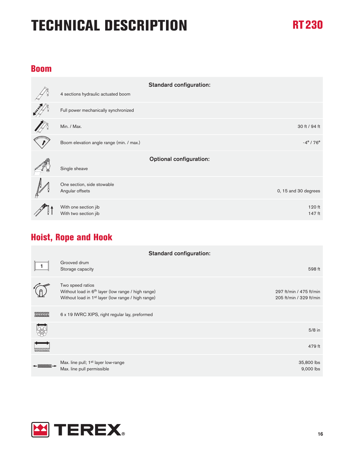#### **Boom**

|                                               | <b>Standard configuration:</b> |
|-----------------------------------------------|--------------------------------|
| 4 sections hydraulic actuated boom            |                                |
| Full power mechanically synchronized          |                                |
| Min. / Max.                                   | 30 ft / 94 ft                  |
| Boom elevation angle range (min. / max.)      | $-4^{\circ}$ / 76 $^{\circ}$   |
|                                               |                                |
|                                               | <b>Optional configuration:</b> |
| Single sheave                                 |                                |
|                                               |                                |
| One section, side stowable<br>Angular offsets | 0, 15 and 30 degrees           |
| With one section jib                          | $120$ ft                       |

### **Hoist, Rope and Hook**

| <b>Standard configuration:</b>                                                                                                                                                                                                                                                                                                                                                                                                                                                                                                                                                                                            |                                                                                                                                                      |                                                    |
|---------------------------------------------------------------------------------------------------------------------------------------------------------------------------------------------------------------------------------------------------------------------------------------------------------------------------------------------------------------------------------------------------------------------------------------------------------------------------------------------------------------------------------------------------------------------------------------------------------------------------|------------------------------------------------------------------------------------------------------------------------------------------------------|----------------------------------------------------|
|                                                                                                                                                                                                                                                                                                                                                                                                                                                                                                                                                                                                                           | Grooved drum<br>Storage capacity                                                                                                                     | 598 ft                                             |
|                                                                                                                                                                                                                                                                                                                                                                                                                                                                                                                                                                                                                           | Two speed ratios<br>Without load in 6 <sup>th</sup> layer (low range / high range)<br>Without load in 1 <sup>st</sup> layer (low range / high range) | 297 ft/min / 475 ft/min<br>205 ft/min / 329 ft/min |
|                                                                                                                                                                                                                                                                                                                                                                                                                                                                                                                                                                                                                           | 6 x 19 IWRC XIPS, right regular lay, preformed                                                                                                       |                                                    |
|                                                                                                                                                                                                                                                                                                                                                                                                                                                                                                                                                                                                                           |                                                                                                                                                      | $5/8$ in                                           |
| $\begin{tabular}{ c c } \hline \quad \quad & \quad \quad & \quad \quad \\ \hline \quad \quad & \quad \quad & \quad \quad \\ \hline \quad \quad & \quad \quad & \quad \quad \\ \hline \quad \quad & \quad \quad & \quad \quad \\ \hline \quad \quad & \quad \quad & \quad \quad \\ \hline \quad \quad & \quad \quad & \quad \quad \\ \hline \quad \quad & \quad \quad & \quad \quad \\ \hline \quad \quad & \quad \quad & \quad \quad \\ \hline \quad \quad & \quad \quad & \quad \quad \\ \hline \quad \quad & \quad \quad & \quad \quad \\ \hline \quad \quad & \quad \quad & \quad \quad \\ \hline \quad \quad & \quad$ |                                                                                                                                                      | 479 ft                                             |
|                                                                                                                                                                                                                                                                                                                                                                                                                                                                                                                                                                                                                           | Max. line pull; 1 <sup>st</sup> layer low-range<br>Max. line pull permissible                                                                        | 35,800 lbs<br>9,000 lbs                            |

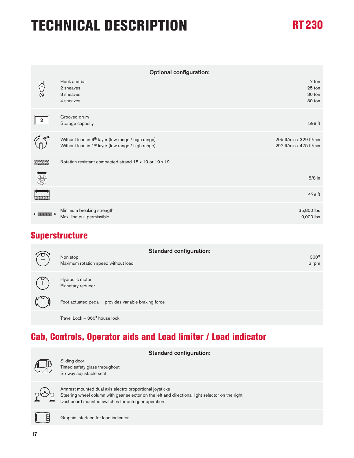| <b>Optional configuration:</b>                          |                                                                                                                                  |                                                    |
|---------------------------------------------------------|----------------------------------------------------------------------------------------------------------------------------------|----------------------------------------------------|
|                                                         | Hook and ball<br>2 sheaves<br>3 sheaves<br>4 sheaves                                                                             | 7 ton<br>25 ton<br>30 ton<br>30 ton                |
| $\overline{\mathbf{2}}$                                 | Grooved drum<br>Storage capacity                                                                                                 | 598 ft                                             |
|                                                         | Without load in 6 <sup>th</sup> layer (low range / high range)<br>Without load in 1 <sup>st</sup> layer (low range / high range) | 205 ft/min / 329 ft/min<br>297 ft/min / 475 ft/min |
|                                                         | Rotation resistant compacted strand 18 x 19 or 19 x 19                                                                           |                                                    |
| 3                                                       |                                                                                                                                  | $5/8$ in                                           |
| $\begin{array}{c}\n\hline\n\hline\n\hline\n\end{array}$ |                                                                                                                                  | 479 ft                                             |
|                                                         | Minimum breaking strength<br>Max. line pull permissible                                                                          | 35,800 lbs<br>9,000 lbs                            |

### **Superstructure**

| $\widehat{C}$ | <b>Standard configuration:</b><br>Non stop<br>Maximum rotation speed without load | $360^\circ$<br>3 rpm |
|---------------|-----------------------------------------------------------------------------------|----------------------|
|               | Hydraulic motor<br>Planetary reducer                                              |                      |
|               | Foot actuated pedal - provides variable braking force                             |                      |
|               | Travel Lock - 360° house lock                                                     |                      |

### **Cab, Controls, Operator aids and Load limiter / Load indicator**

| <b>Standard configuration:</b>                                                                                                                                                                                     |
|--------------------------------------------------------------------------------------------------------------------------------------------------------------------------------------------------------------------|
| Sliding door<br>Tinted safety glass throughout<br>Six way adjustable seat                                                                                                                                          |
| Armrest mounted dual axis electro-proportional joysticks<br>Steering wheel column with gear selector on the left and directional light selector on the right<br>Dashboard mounted switches for outrigger operation |
| Graphic interface for load indicator                                                                                                                                                                               |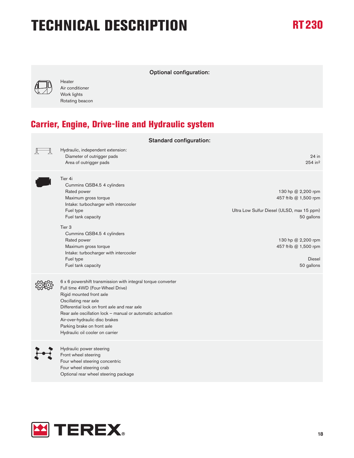

Heater Air conditioner Work lights Rotating beacon

### **Carrier, Engine, Drive-line and Hydraulic system**

| <b>Standard configuration:</b> |                                                                                                                                                                                                                                                                                                                                                                          |                                                                                                                                                                                       |
|--------------------------------|--------------------------------------------------------------------------------------------------------------------------------------------------------------------------------------------------------------------------------------------------------------------------------------------------------------------------------------------------------------------------|---------------------------------------------------------------------------------------------------------------------------------------------------------------------------------------|
|                                | Hydraulic, independent extension:<br>Diameter of outrigger pads<br>Area of outrigger pads                                                                                                                                                                                                                                                                                | $24$ in<br>254 in <sup>2</sup>                                                                                                                                                        |
|                                | Tier 4i<br>Cummins QSB4.5 4 cylinders<br>Rated power<br>Maximum gross torque<br>Intake: turbocharger with intercooler<br>Fuel type<br>Fuel tank capacity<br>Tier <sub>3</sub><br>Cummins QSB4.5 4 cylinders<br>Rated power<br>Maximum gross torque<br>Intake: turbocharger with intercooler<br>Fuel type<br>Fuel tank capacity                                           | 130 hp @ 2,200 rpm<br>457 ft-lb @ 1,500 rpm<br>Ultra Low Sulfur Diesel (ULSD, max 15 ppm)<br>50 gallons<br>130 hp @ 2,200 rpm<br>457 ft-lb @ 1,500 rpm<br><b>Diesel</b><br>50 gallons |
|                                | 6 x 6 powershift transmission with integral torque converter<br>Full time 4WD (Four-Wheel Drive)<br>Rigid mounted front axle<br>Oscillating rear axle<br>Differential lock on front axle and rear axle<br>Rear axle oscillation lock - manual or automatic actuation<br>Air-over-hydraulic disc brakes<br>Parking brake on front axle<br>Hydraulic oil cooler on carrier |                                                                                                                                                                                       |
|                                | Hydraulic power steering<br>Front wheel steering<br>Four wheel steering concentric<br>Four wheel steering crab<br>Optional rear wheel steering package                                                                                                                                                                                                                   |                                                                                                                                                                                       |

Optional configuration:

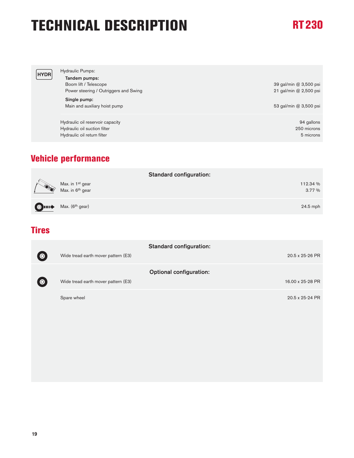| <b>HYDR</b> | Hydraulic Pumps:<br>Tandem pumps:<br>Boom lift / Telescope<br>Power steering / Outriggers and Swing<br>Single pump:<br>Main and auxiliary hoist pump | 39 gal/min @ 3,500 psi<br>21 gal/min @ 2,500 psi<br>53 gal/min @ 3,500 psi |
|-------------|------------------------------------------------------------------------------------------------------------------------------------------------------|----------------------------------------------------------------------------|
|             | Hydraulic oil reservoir capacity<br>Hydraulic oil suction filter<br>Hydraulic oil return filter                                                      | 94 gallons<br>250 microns<br>5 microns                                     |

### **Vehicle performance**

|                |                                                              | <b>Standard configuration:</b> |
|----------------|--------------------------------------------------------------|--------------------------------|
| <b>RESERVE</b> | Max. in 1 <sup>st</sup> gear<br>Max. in 6 <sup>th</sup> gear | 112.34 %<br>3.77 %             |
|                | $\bigcirc$ $\Box$ Max. (6 <sup>th</sup> gear)                | $24.5$ mph                     |

#### **Tires**

|           |                                     | <b>Standard configuration:</b> |
|-----------|-------------------------------------|--------------------------------|
| $\bullet$ | Wide tread earth mover pattern (E3) | 20.5 x 25-26 PR                |
|           |                                     | <b>Optional configuration:</b> |
| $\bullet$ | Wide tread earth mover pattern (E3) | 16.00 x 25-28 PR               |
|           | Spare wheel                         | 20.5 x 25-24 PR                |
|           |                                     |                                |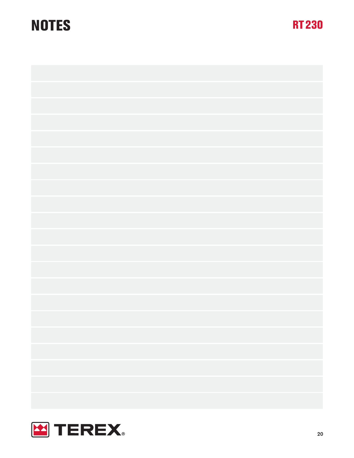### **NOTES RT230**



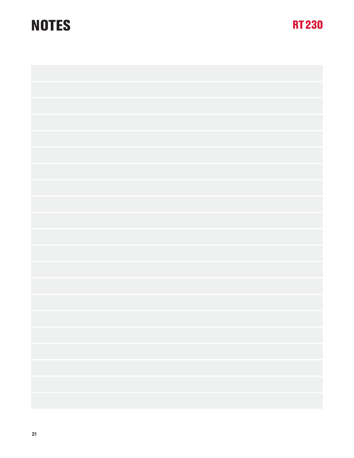### **NOTES RT230**